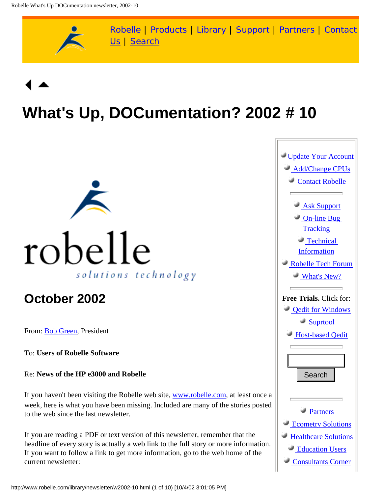

# **What's Up, DOCumentation? 2002 # 10**



## **October 2002**

From: [Bob Green,](http://www.robelle.com/robelle.html#bob) President

To: **Users of Robelle Software**

Re: **News of the HP e3000 and Robelle**

If you haven't been visiting the Robelle web site, [www.robelle.com](http://www.robelle.com/), at least once a week, here is what you have been missing. Included are many of the stories posted to the web since the last newsletter.

If you are reading a PDF or text version of this newsletter, remember that the headline of every story is actually a web link to the full story or more information. If you want to follow a link to get more information, go to the web home of the current newsletter: Re: News of the HP e3000 and Robelle<br>
If you haven't been visiting the Robelle web site, <u>www.robelle.com</u>, at least once a<br>
week, here is what you have been missing. Included are many of the stories posted<br>
to the web sin

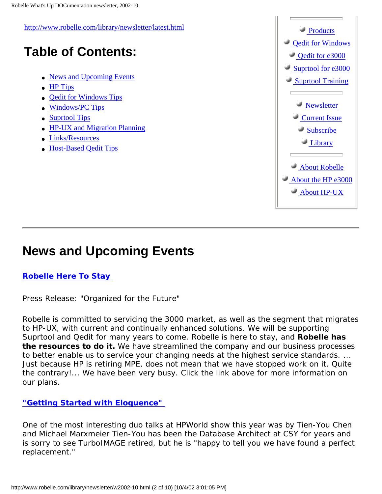<http://www.robelle.com/library/newsletter/latest.html> **Table of Contents:** • [News and Upcoming Events](#page-1-0) ● [HP Tips](#page-3-0) • [Qedit for Windows Tips](#page-4-0) ● [Windows/PC Tips](#page-5-0) • [Suprtool Tips](#page-5-1) • [HP-UX and Migration Planning](#page-5-2) ● [Links/Resources](#page-6-0) ● [Host-Based Qedit Tips](#page-8-0) **Products**  [Qedit for Windows](http://www.robelle.com/products/qwin/)  [Qedit for e3000](http://www.robelle.com/products/qedit/)  [Suprtool for e3000](http://www.robelle.com/products/suprtool/)  [Suprtool Training](http://www.robelle.com/products/courses/) **Newsletter Current Issue**  [Subscribe](http://www.robelle.com/forms/wudsubscribe.html)  [Library](http://www.robelle.com/library/)  [About Robelle](http://www.robelle.com/company.html)  [About the HP e3000](http://www.robelle.com/support/hp3000.html)  [About HP-UX](http://www.robelle.com/abouthpux.html)

## <span id="page-1-0"></span>**News and Upcoming Events**

### **[Robelle Here To Stay](http://www.robelle.com/library/press-release/heretostay.html)**

*Press Release:* "Organized for the Future"

Robelle is committed to servicing the 3000 market, as well as the segment that migrates to HP-UX, with current and continually enhanced solutions. We will be supporting Suprtool and Qedit for many years to come. Robelle is here to stay, and **Robelle has the resources to do it.** We have streamlined the company and our business processes to better enable us to service your changing needs at the highest service standards. ... Just because HP is retiring MPE, does not mean that we have stopped work on it. Quite the contrary!... We have been very busy. Click the link above for more information on our plans.

### **["Getting Started with Eloquence"](http://www.robelle.com/hpworld/2002/welcome.html#eloquence)**

One of the most interesting duo talks at HPWorld show this year was by Tien-You Chen and Michael Marxmeier Tien-You has been the Database Architect at CSY for years and is sorry to see TurboIMAGE retired, but he is "happy to tell you we have found a perfect replacement."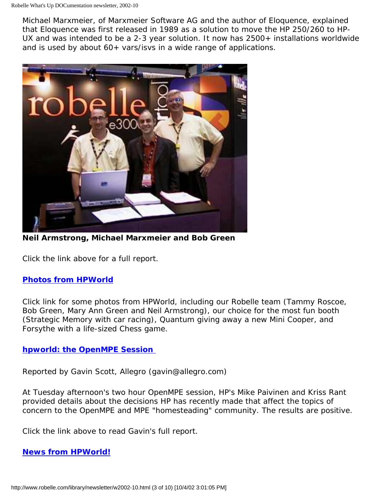Michael Marxmeier, of Marxmeier Software AG and the author of Eloquence, explained that Eloquence was first released in 1989 as a solution to move the HP 250/260 to HP-UX and was intended to be a 2-3 year solution. It now has 2500+ installations worldwide and is used by about 60+ vars/isvs in a wide range of applications.



**Neil Armstrong, Michael Marxmeier and Bob Green**

Click the link above for a full report.

#### **[Photos from HPWorld](http://www.robelle.com/hpworld/2002/welcome.html#photos)**

Click link for some photos from HPWorld, including our Robelle team (Tammy Roscoe, Bob Green, Mary Ann Green and Neil Armstrong), our choice for the most fun booth (Strategic Memory with car racing), Quantum giving away a new Mini Cooper, and Forsythe with a life-sized Chess game.

#### **[hpworld: the OpenMPE Session](http://www.robelle.com/hpworld/2002/welcome.html#openmpe)**

*Reported by Gavin Scott, Allegro (gavin@allegro.com)*

At Tuesday afternoon's two hour OpenMPE session, HP's Mike Paivinen and Kriss Rant provided details about the decisions HP has recently made that affect the topics of concern to the OpenMPE and MPE "homesteading" community. The results are positive.

Click the link above to read Gavin's full report.

### **[News from HPWorld!](http://www.robelle.com/hpworld/2002/welcome.html#news)**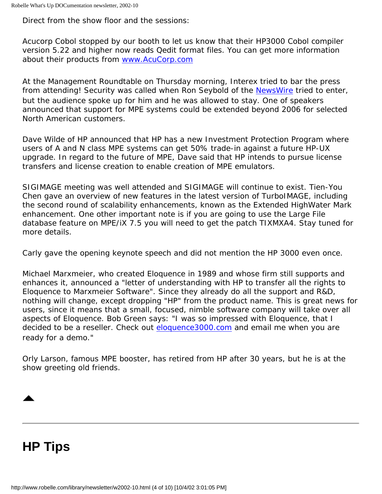Direct from the show floor and the sessions:

Acucorp Cobol stopped by our booth to let us know that their HP3000 Cobol compiler version 5.22 and higher now reads Qedit format files. You can get more information about their products from [www.AcuCorp.com](http://www.acucorp.com/)

At the Management Roundtable on Thursday morning, Interex tried to bar the press from attending! Security was called when Ron Seybold of the [NewsWire](http://www.3000newswire.com/) tried to enter, but the audience spoke up for him and he was allowed to stay. One of speakers announced that support for MPE systems could be extended beyond 2006 for selected North American customers.

Dave Wilde of HP announced that HP has a new Investment Protection Program where users of A and N class MPE systems can get 50% trade-in against a future HP-UX upgrade. In regard to the future of MPE, Dave said that HP intends to pursue license transfers and license creation to enable creation of MPE emulators.

SIGIMAGE meeting was well attended and SIGIMAGE will continue to exist. Tien-You Chen gave an overview of new features in the latest version of TurboIMAGE, including the second round of scalability enhancements, known as the Extended HighWater Mark enhancement. One other important note is if you are going to use the Large File database feature on MPE/iX 7.5 you will need to get the patch TIXMXA4. Stay tuned for more details.

Carly gave the opening keynote speech and did not mention the HP 3000 even once.

Michael Marxmeier, who created Eloquence in 1989 and whose firm still supports and enhances it, announced a "letter of understanding with HP to transfer all the rights to Eloquence to Marxmeier Software". Since they already do all the support and R&D, nothing will change, except dropping "HP" from the product name. This is great news for users, since it means that a small, focused, nimble software company will take over all aspects of Eloquence. Bob Green says: "I was so impressed with Eloquence, that I decided to be a reseller. Check out [eloquence3000.com](http://eloquence3000.com/) and email me when you are ready for a demo."

Orly Larson, famous MPE booster, has retired from HP after 30 years, but he is at the show greeting old friends.

## <span id="page-3-0"></span>**HP Tips**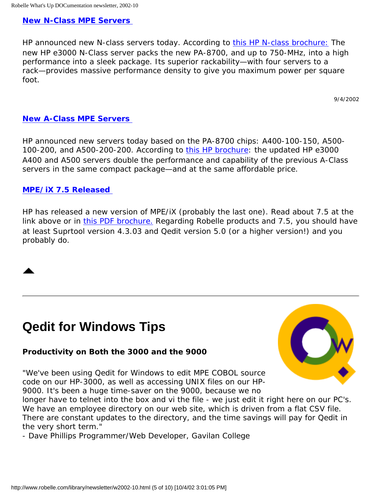#### **[New N-Class MPE Servers](http://www.hp.com/products1/servers/rackoptimized/mpeix/nclass/index.html)**

HP announced new N-class servers today. According to [this HP N-class brochure:](http://3kworld.com/subSites/subSite63/images/5980-7113.pdf) *The new HP e3000 N-Class server packs the new PA-8700, and up to 750-MHz, into a high performance into a sleek package. Its superior rackability—with four servers to a rack—provides massive performance density to give you maximum power per square foot.* 

9/4/2002

#### **[New A-Class MPE Servers](http://www.hp.com/products1/servers/rackoptimized/mpeix/aclass/index.html)**

HP announced new servers today based on the PA-8700 chips: A400-100-150, A500- 100-200, and A500-200-200. According to [this HP brochure](http://3kworld.com/subSites/subSite63/images/5980-7112EN.pdf): *the updated HP e3000 A400 and A500 servers double the performance and capability of the previous A-Class servers in the same compact package—and at the same affordable price.*

#### **[MPE/iX 7.5 Released](http://www.hp.com/products1/mpeix/operating/mpeix75/index.html)**

HP has released a new version of MPE/iX (probably the last one). Read about 7.5 at the link above or in [this PDF brochure.](http://3kworld.com/subSites/subSite63/images/5981-3065EN.pdf) Regarding Robelle products and 7.5, you should have at least Suprtool version 4.3.03 and Qedit version 5.0 (or a higher version!) and you probably do.

## <span id="page-4-0"></span>**Qedit for Windows Tips**

#### **Productivity on Both the 3000 and the 9000**

"We've been using Qedit for Windows to edit MPE COBOL source code on our HP-3000, as well as accessing UNIX files on our HP-9000. It's been a huge time-saver on the 9000, because we no



longer have to telnet into the box and vi the file - we just edit it right here on our PC's. We have an employee directory on our web site, which is driven from a flat CSV file. There are constant updates to the directory, and the time savings will pay for Qedit in the very short term."

- Dave Phillips Programmer/Web Developer, Gavilan College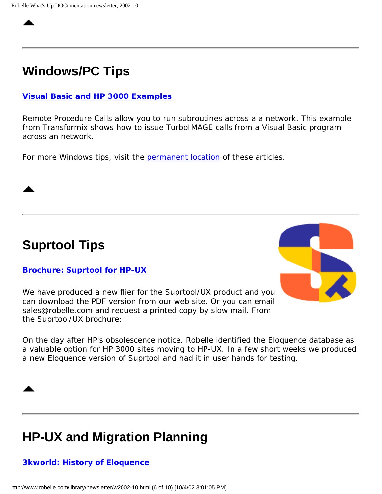## <span id="page-5-0"></span>**Windows/PC Tips**

#### **[Visual Basic and HP 3000 Examples](http://www.xformix.com/vbexample/vb/vb3k/vb3k-3.htm)**

Remote Procedure Calls allow you to run subroutines across a a network. This example from Transformix shows how to issue TurboIMAGE calls from a Visual Basic program across an network.

For more Windows tips, visit the [permanent location](http://www.robelle.com/tips/windows.html) of these articles.

<span id="page-5-1"></span>**Suprtool Tips**

#### **[Brochure: Suprtool for HP-UX](http://www.robelle.com/products/suprtool/stuxbrochure.pdf)**

We have produced a new flier for the Suprtool/UX product and you can download the PDF version from our web site. Or you can email sales@robelle.com and request a printed copy by slow mail. From the Suprtool/UX brochure:



*On the day after HP's obsolescence notice, Robelle identified the Eloquence database as a valuable option for HP 3000 sites moving to HP-UX. In a few short weeks we produced a new Eloquence version of Suprtool and had it in user hands for testing.* 

### <span id="page-5-2"></span>**HP-UX and Migration Planning**

#### **[3kworld: History of Eloquence](http://www.3kworld.com/newsroom.asp?appmode=itemDetail&news_PK=4379)**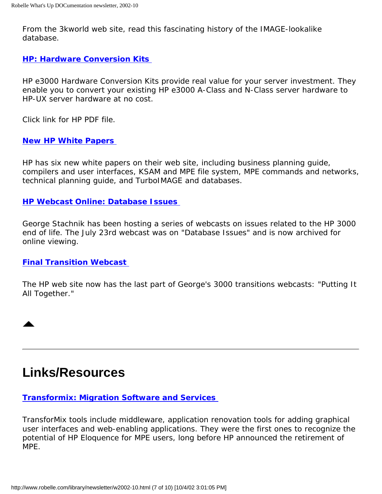From the 3kworld web site, read this fascinating history of the IMAGE-lookalike database.

#### **[HP: Hardware Conversion Kits](http://3kworld.com/subSites/subSite63/images/5981-3273EN.pdf)**

*HP e3000 Hardware Conversion Kits provide real value for your server investment. They enable you to convert your existing HP e3000 A-Class and N-Class server hardware to HP-UX server hardware at no cost.*

Click link for HP PDF file.

#### **[New HP White Papers](http://www.hp.com/products1/mpeixservers/info_library/wp/index.html)**

HP has six new white papers on their web site, including business planning guide, compilers and user interfaces, KSAM and MPE file system, MPE commands and networks, technical planning guide, and TurboIMAGE and databases.

#### **[HP Webcast Online: Database Issues](http://hpmsweb1.com/content/438_848/07-23-02.htm)**

George Stachnik has been hosting a series of webcasts on issues related to the HP 3000 end of life. The July 23rd webcast was on "Database Issues" and is now archived for online viewing.

#### **[Final Transition Webcast](http://www.hpbroadband.com/program.cfm?key=e3000mod6)**

The HP web site now has the last part of George's 3000 transitions webcasts: "Putting It All Together."

### <span id="page-6-0"></span>**Links/Resources**

#### **[Transformix: Migration Software and Services](http://www.xformix.com/)**

TransforMix tools include middleware, application renovation tools for adding graphical user interfaces and web-enabling applications. They were the first ones to recognize the potential of HP Eloquence for MPE users, long before HP announced the retirement of MPE.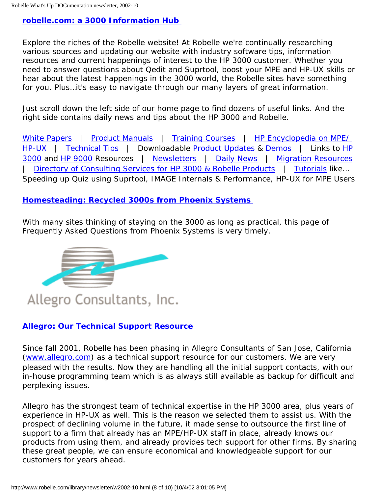#### **[robelle.com: a 3000 Information Hub](http://www.robelle.com/sitemap.html)**

Explore the riches of the Robelle website! At Robelle we're continually researching various sources and updating our website with industry software tips, information resources and current happenings of interest to the HP 3000 customer. Whether you need to answer questions about Qedit and Suprtool, boost your MPE and HP-UX skills or hear about the latest happenings in the 3000 world, the Robelle sites have something for you. Plus…it's easy to navigate through our many layers of great information.

Just scroll down the left side of our home page to find dozens of useful links. And the right side contains daily news and tips about the HP 3000 and Robelle.

[White Papers](http://www.robelle.com/library/papers/) | [Product Manuals](http://www.robelle.com/library/manuals/) | [Training Courses](http://www.robelle.com/products/courses/) | HP Encyclopedia on MPE [HP-UX](http://www.robelle.com/library/smugbook/) | [Technical Tips](http://www.robelle.com/tips/index.html) | Downloadable [Product Updates](http://www.robelle.com/products/whatsnew.html) & [Demos](http://www.robelle.com/forms/info.html) | Links to HP [3000](http://www.robelle.com/support/hp3000.html) and [HP 9000](http://www.robelle.com/abouthpux.html) Resources | [Newsletters](http://www.robelle.com/library/newsletter/) | [Daily News](http://www.robelle.com/#news) | [Migration Resources](http://suprtool.com/move) | [Directory of Consulting Services for HP 3000 & Robelle Products](http://www.robelle.com/consultants.html) | [Tutorials](http://www.robelle.com/library/tutorials/) like… Speeding up Quiz using Suprtool, IMAGE Internals & Performance, HP-UX for MPE Users

#### **[Homesteading: Recycled 3000s from Phoenix Systems](http://3kworld.com/newsroom.asp?appmode=itemDetail&news_PK=4399)**

With many sites thinking of staying on the 3000 as long as practical, this page of Frequently Asked Questions from Phoenix Systems is very timely.



#### **[Allegro: Our Technical Support Resource](http://www.robelle.com/tips/allegro.html)**

Since fall 2001, Robelle has been phasing in Allegro Consultants of San Jose, California [\(www.allegro.com\)](http://www.allegro.com/) as a technical support resource for our customers. We are very pleased with the results. Now they are handling all the initial support contacts, with our in-house programming team which is as always still available as backup for difficult and perplexing issues.

Allegro has the strongest team of technical expertise in the HP 3000 area, plus years of experience in HP-UX as well. This is the reason we selected them to assist us. With the prospect of declining volume in the future, it made sense to outsource the first line of support to a firm that already has an MPE/HP-UX staff in place, already knows our products from using them, and already provides tech support for other firms. By sharing these great people, we can ensure economical and knowledgeable support for our customers for years ahead.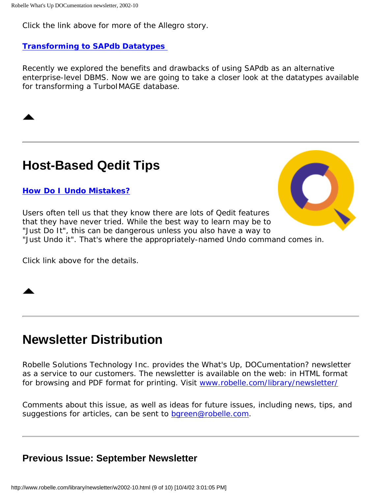Click the link above for more of the Allegro story.

#### **[Transforming to SAPdb Datatypes](http://www.robelle.com/tips/sapdb.html#datatypes)**

Recently we explored the benefits and drawbacks of using SAPdb as an alternative enterprise-level DBMS. Now we are going to take a closer look at the datatypes available for transforming a TurboIMAGE database.

### <span id="page-8-0"></span>**Host-Based Qedit Tips**

#### **[How Do I Undo Mistakes?](http://www.robelle.com/support/qedit/undo.html)**

Users often tell us that they know there are lots of Qedit features that they have never tried. While the best way to learn may be to "Just Do It", this can be dangerous unless you also have a way to "Just Undo it". That's where the appropriately-named Undo command comes in.

Click link above for the details.

### **Newsletter Distribution**

Robelle Solutions Technology Inc. provides the *What's Up, DOCumentation?* newsletter as a service to our customers. The newsletter is available on the web: in HTML format for browsing and PDF format for printing. Visit [www.robelle.com/library/newsletter/](http://www.robelle.com/library/newsletter/)

Comments about this issue, as well as ideas for future issues, including news, tips, and suggestions for articles, can be sent to [bgreen@robelle.com.](mailto:bgreen@robelle.com)

### **Previous Issue: September Newsletter**